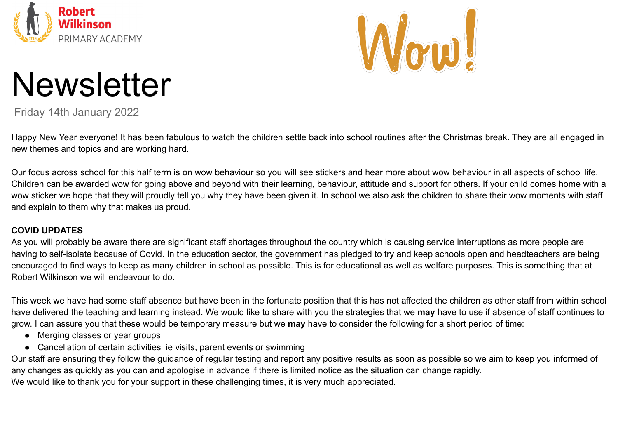



# **Newsletter**

# Friday 14th January 2022

Happy New Year everyone! It has been fabulous to watch the children settle back into school routines after the Christmas break. They are all engaged in new themes and topics and are working hard.

Our focus across school for this half term is on wow behaviour so you will see stickers and hear more about wow behaviour in all aspects of school life. Children can be awarded wow for going above and beyond with their learning, behaviour, attitude and support for others. If your child comes home with a wow sticker we hope that they will proudly tell you why they have been given it. In school we also ask the children to share their wow moments with staff and explain to them why that makes us proud.

#### **COVID UPDATES**

As you will probably be aware there are significant staff shortages throughout the country which is causing service interruptions as more people are having to self-isolate because of Covid. In the education sector, the government has pledged to try and keep schools open and headteachers are being encouraged to find ways to keep as many children in school as possible. This is for educational as well as welfare purposes. This is something that at Robert Wilkinson we will endeavour to do.

This week we have had some staff absence but have been in the fortunate position that this has not affected the children as other staff from within school have delivered the teaching and learning instead. We would like to share with you the strategies that we **may** have to use if absence of staff continues to grow. I can assure you that these would be temporary measure but we **may** have to consider the following for a short period of time:

- Merging classes or year groups
- Cancellation of certain activities ie visits, parent events or swimming

Our staff are ensuring they follow the guidance of regular testing and report any positive results as soon as possible so we aim to keep you informed of any changes as quickly as you can and apologise in advance if there is limited notice as the situation can change rapidly.

We would like to thank you for your support in these challenging times, it is very much appreciated.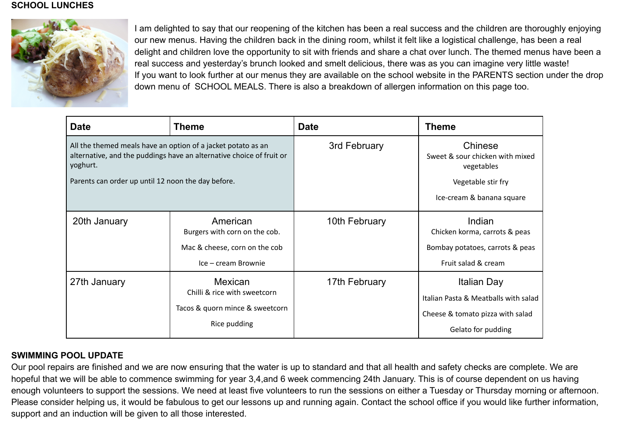#### **SCHOOL LUNCHES**



I am delighted to say that our reopening of the kitchen has been a real success and the children are thoroughly enjoying our new menus. Having the children back in the dining room, whilst it felt like a logistical challenge, has been a real delight and children love the opportunity to sit with friends and share a chat over lunch. The themed menus have been a real success and yesterday's brunch looked and smelt delicious, there was as you can imagine very little waste! If you want to look further at our menus they are available on the school website in the PARENTS section under the drop down menu of SCHOOL MEALS. There is also a breakdown of allergen information on this page too.

| <b>Date</b>                                                                                                                                      | <b>Theme</b>                                                                    | <b>Date</b>   | <b>Theme</b>                                             |
|--------------------------------------------------------------------------------------------------------------------------------------------------|---------------------------------------------------------------------------------|---------------|----------------------------------------------------------|
| All the themed meals have an option of a jacket potato as an<br>alternative, and the puddings have an alternative choice of fruit or<br>yoghurt. |                                                                                 | 3rd February  | Chinese<br>Sweet & sour chicken with mixed<br>vegetables |
| Parents can order up until 12 noon the day before.                                                                                               |                                                                                 |               | Vegetable stir fry                                       |
|                                                                                                                                                  |                                                                                 |               | Ice-cream & banana square                                |
| 20th January                                                                                                                                     | American<br>Burgers with corn on the cob.                                       | 10th February | Indian<br>Chicken korma, carrots & peas                  |
|                                                                                                                                                  | Mac & cheese, corn on the cob                                                   |               | Bombay potatoes, carrots & peas                          |
|                                                                                                                                                  | Ice - cream Brownie                                                             |               | Fruit salad & cream                                      |
| 27th January                                                                                                                                     | <b>Mexican</b>                                                                  | 17th February | Italian Day                                              |
|                                                                                                                                                  | Chilli & rice with sweetcorn<br>Tacos & quorn mince & sweetcorn<br>Rice pudding |               | Italian Pasta & Meatballs with salad                     |
|                                                                                                                                                  |                                                                                 |               | Cheese & tomato pizza with salad                         |
|                                                                                                                                                  |                                                                                 |               | Gelato for pudding                                       |

## **SWIMMING POOL UPDATE**

Our pool repairs are finished and we are now ensuring that the water is up to standard and that all health and safety checks are complete. We are hopeful that we will be able to commence swimming for year 3,4,and 6 week commencing 24th January. This is of course dependent on us having enough volunteers to support the sessions. We need at least five volunteers to run the sessions on either a Tuesday or Thursday morning or afternoon. Please consider helping us, it would be fabulous to get our lessons up and running again. Contact the school office if you would like further information, support and an induction will be given to all those interested.